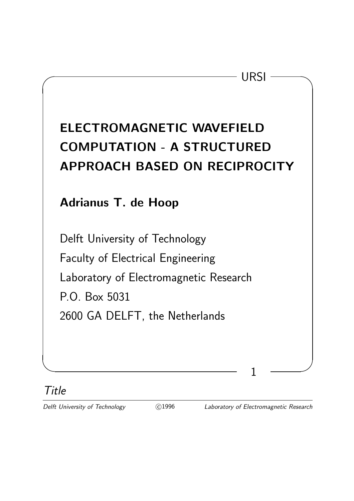# ELECTROMAGNETIC WAVEFIELD COMPUTATION - A STRUCTURED APPROACH BASED ON RECIPROCITY

 $\sqrt{ }$  URSI  $\sqrt{ }$ 

## Adrianus T. de Hoop

Delft University of Technology Faculty of Electrical Engineering Laboratory of Electromagnetic Research P.O. Box 5031 2600 GA DELFT, the Netherlands

Title

✫ ✪

Delft University of Technology (C)1996 Laboratory of Electromagnetic Research

1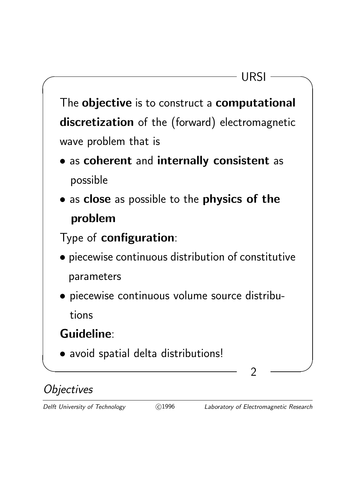

# **Objectives**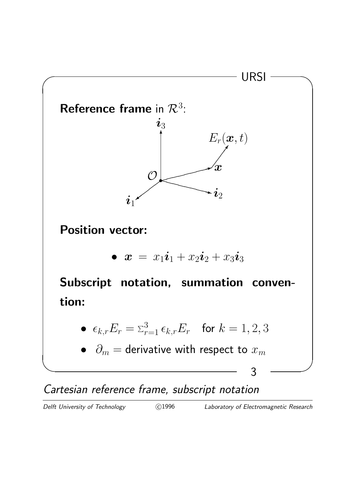

Cartesian reference frame, subscript notation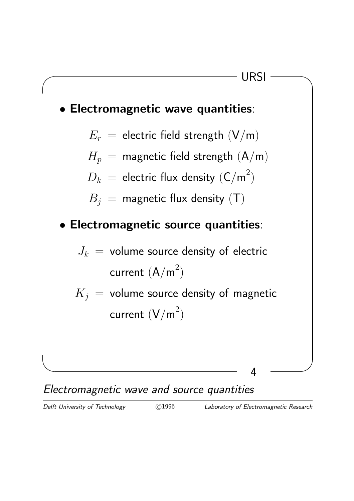

#### Electromagnetic wave and source quantities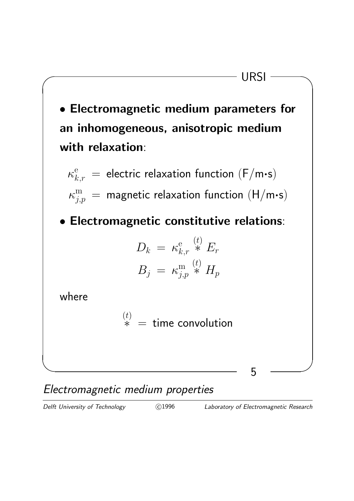

Electromagnetic medium properties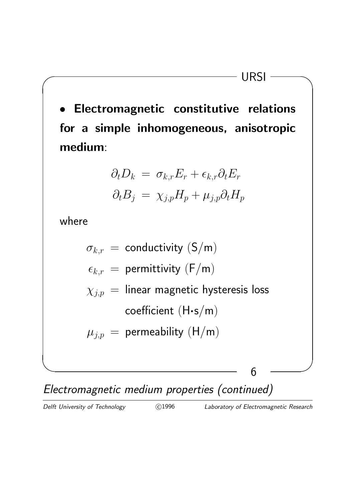• Electromagnetic constitutive relations for a simple inhomogeneous, anisotropic medium:

 $\sqrt{ }$  URSI  $\sqrt{ }$ 

$$
\partial_t D_k = \sigma_{k,r} E_r + \epsilon_{k,r} \partial_t E_r
$$

$$
\partial_t B_j = \chi_{j,p} H_p + \mu_{j,p} \partial_t H_p
$$

where



Electromagnetic medium properties (continued)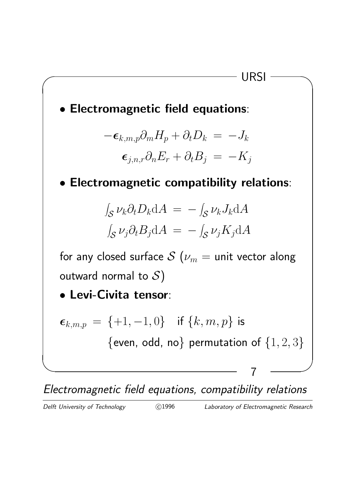

Electromagnetic field equations, compatibility relations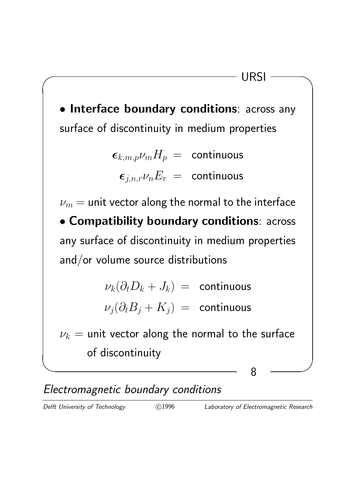

Electromagnetic boundary conditions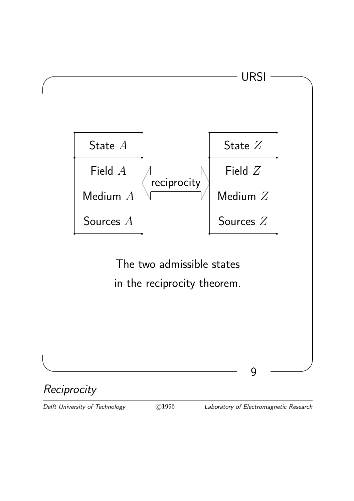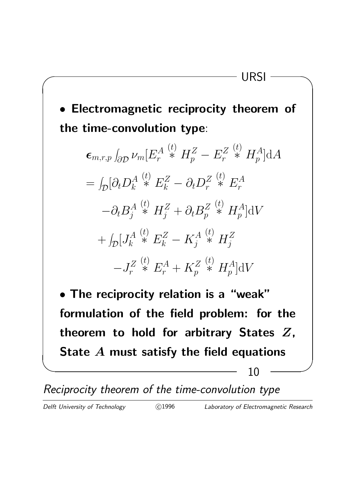• Electromagnetic reciprocity theorem of the time-convolution type:

 $\sqrt{ }$  URSI  $\sqrt{ }$ 

$$
\epsilon_{m,r,p} \int_{\partial \mathcal{D}} \nu_m [E_r^{A} \stackrel{(t)}{\ast} H_p^{Z} - E_r^{Z} \stackrel{(t)}{\ast} H_p^{A}] dA \n= \int_{\mathcal{D}} [\partial_t D_k^{A} \stackrel{(t)}{\ast} E_k^{Z} - \partial_t D_r^{Z} \stackrel{(t)}{\ast} E_r^{A} \n- \partial_t B_j^{A} \stackrel{(t)}{\ast} H_j^{Z} + \partial_t B_p^{Z} \stackrel{(t)}{\ast} H_p^{A}] dV \n+ \int_{\mathcal{D}} [J_k^{A} \stackrel{(t)}{\ast} E_k^{Z} - K_j^{A} \stackrel{(t)}{\ast} H_j^{Z} \n-J_r^{Z} \stackrel{(t)}{\ast} E_r^{A} + K_p^{Z} \stackrel{(t)}{\ast} H_p^{A}] dV
$$

• The reciprocity relation is a "weak" formulation of the field problem: for the theorem to hold for arbitrary States  $Z$ , State A must satisfy the field equations

✫ ✪ 10

Reciprocity theorem of the time-convolution type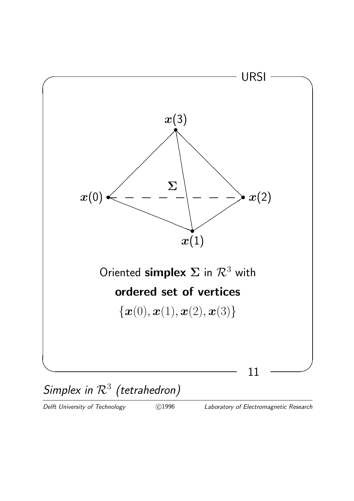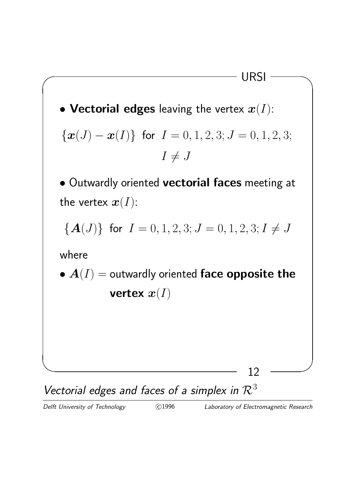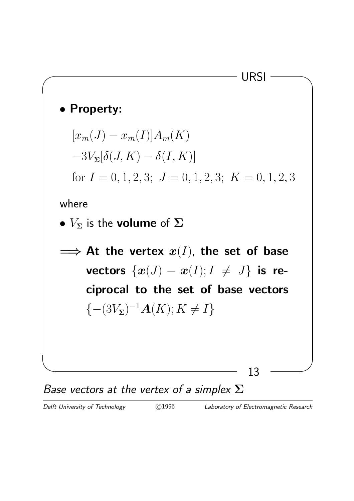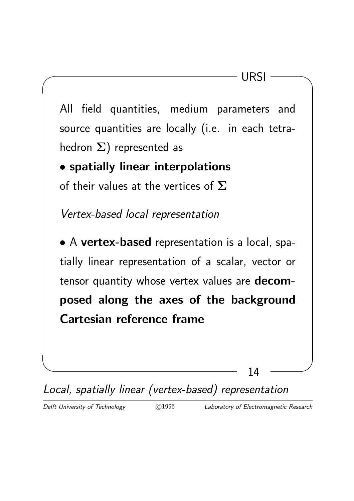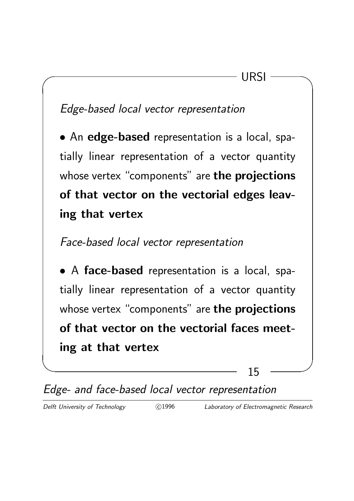## Edge-based local vector representation

• An edge-based representation is a local, spatially linear representation of a vector quantity whose vertex "components" are the projections of that vector on the vectorial edges leaving that vertex

 $\sqrt{ }$  URSI  $\sqrt{ }$ 

#### Face-based local vector representation

• A face-based representation is a local, spatially linear representation of a vector quantity whose vertex "components" are the projections of that vector on the vectorial faces meeting at that vertex

✫ ✪ 15

Edge- and face-based local vector representation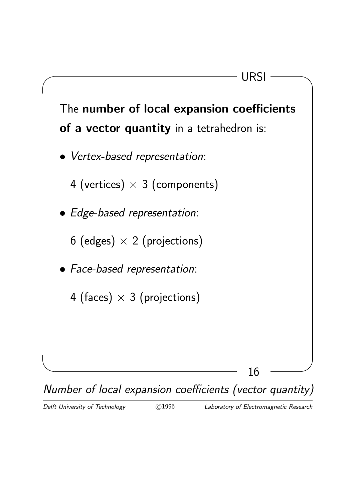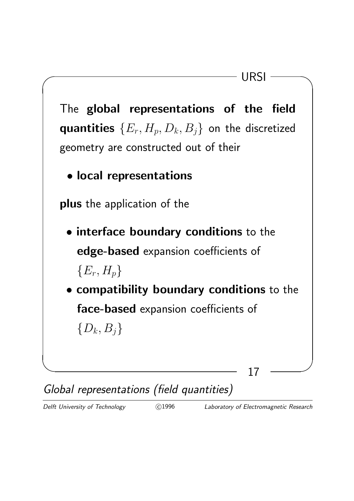

Global representations (field quantities)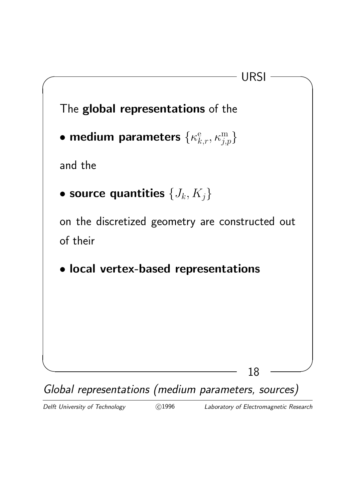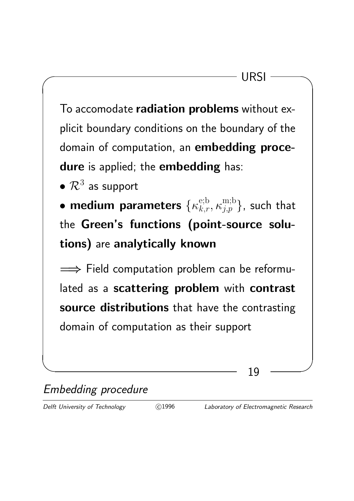To accomodate radiation problems without explicit boundary conditions on the boundary of the domain of computation, an embedding procedure is applied; the embedding has:

 $\bullet$   $\mathcal{R}^3$  as support

• medium parameters  $\{\kappa_{k,r}^{\mathrm{e};\mathrm{b}},\kappa_{j,p}^{\mathrm{m};\mathrm{b}}\}$ , such that the Green's functions (point-source solutions) are analytically known

 $\implies$  Field computation problem can be reformulated as a scattering problem with contrast source distributions that have the contrasting domain of computation as their support

✫ ✪ 19

Embedding procedure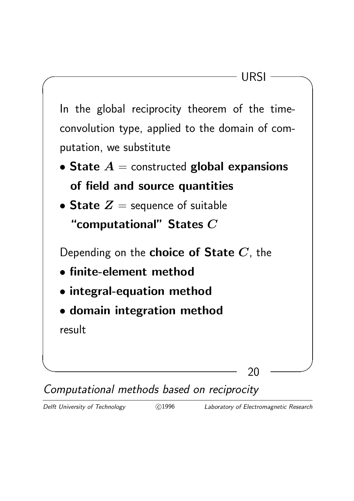

Computational methods based on reciprocity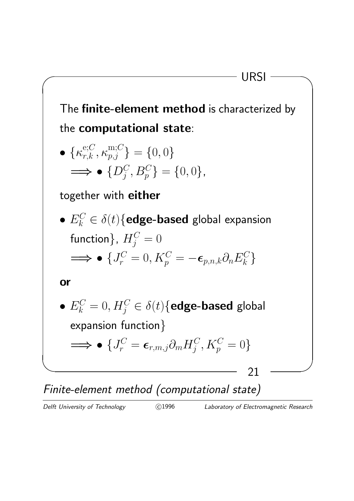

Finite-element method (computational state)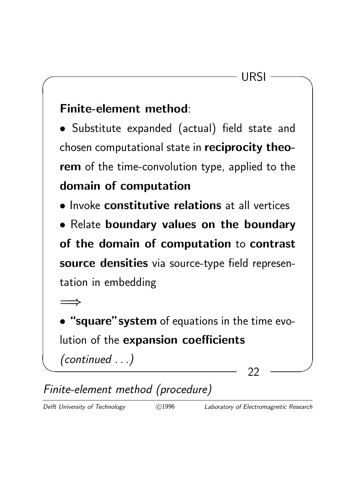#### Finite-element method:

• Substitute expanded (actual) field state and chosen computational state in reciprocity theorem of the time-convolution type, applied to the domain of computation

• Invoke constitutive relations at all vertices

• Relate boundary values on the boundary of the domain of computation to contrast source densities via source-type field representation in embedding

 $\implies$ 

• "square" system of equations in the time evolution of the expansion coefficients

(continued . . .)

✫ ✪ 22

# Finite-element method (procedure)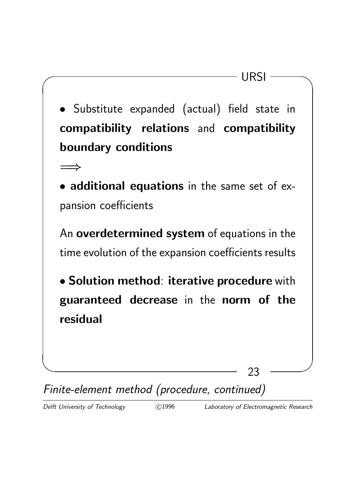✫ ✪  $\sqrt{ }$  URSI  $\sqrt{ }$ 23 • Substitute expanded (actual) field state in compatibility relations and compatibility boundary conditions =⇒ • additional equations in the same set of expansion coefficients An overdetermined system of equations in the time evolution of the expansion coefficients results • Solution method: iterative procedure with guaranteed decrease in the norm of the residual

Finite-element method (procedure, continued)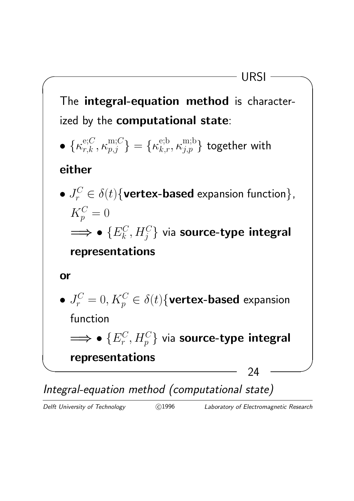

Integral-equation method (computational state)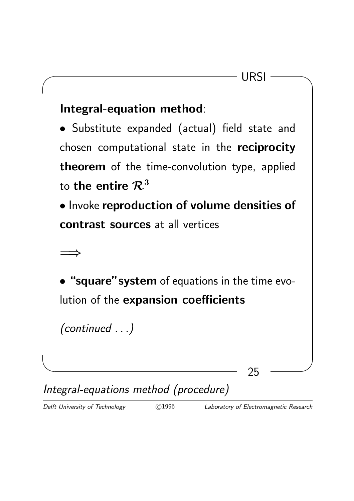

Integral-equations method (procedure)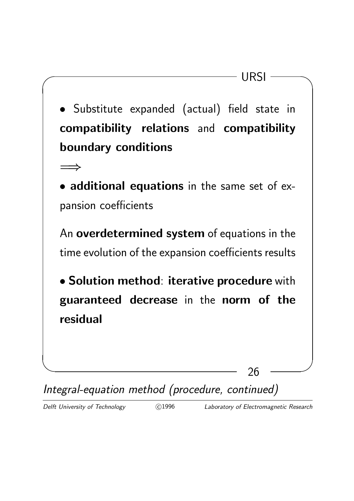✫ ✪  $\sqrt{ }$  URSI  $\sqrt{ }$ 26 • Substitute expanded (actual) field state in compatibility relations and compatibility boundary conditions  $\implies$ • additional equations in the same set of expansion coefficients An overdetermined system of equations in the time evolution of the expansion coefficients results • Solution method: iterative procedure with guaranteed decrease in the norm of the residual

Integral-equation method (procedure, continued)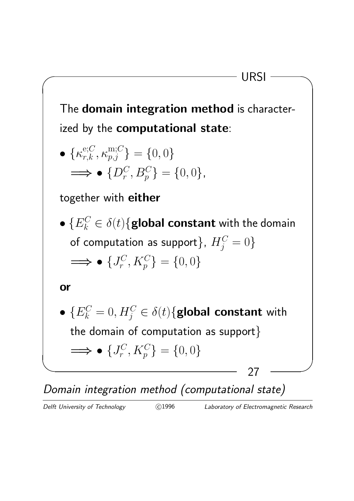The domain integration method is characterized by the computational state:

 $\sqrt{ }$  URSI  $\sqrt{ }$ 

$$
\begin{aligned}\n\bullet \{ \kappa_{r,k}^{\text{e};C}, \kappa_{p,j}^{\text{m};C} \} &= \{ 0, 0 \} \\
\Longrightarrow \bullet \{ D_r^C, B_p^C \} &= \{ 0, 0 \}, \n\end{aligned}
$$

together with either

 $\bullet\;\{E_{k}^{C}\in\delta(t)\{ \text{global constant with the domain} \}$ of computation as support $\},\ H_j^C=0\}$  $\Longrightarrow \bullet \{J_r^C$  $\{C_r^C, K_p^C\} = \{0, 0\}$ 

or

✫ ✪ 27 •  $\{E_k^C=0,H_j^C\in \delta(t)\{$ global constant with the domain of computation as support}  $\Longrightarrow \bullet \{J_r^C$  $\{C_r^C, K_p^C\} = \{0, 0\}$ 

Domain integration method (computational state)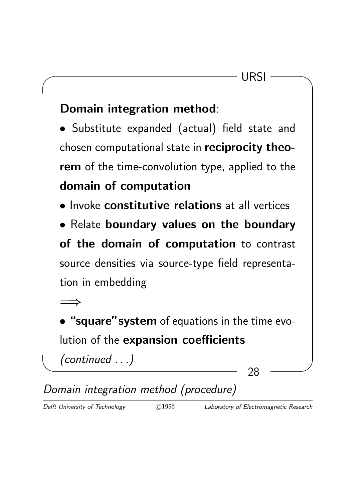## Domain integration method:

• Substitute expanded (actual) field state and chosen computational state in reciprocity theorem of the time-convolution type, applied to the domain of computation

• Invoke constitutive relations at all vertices

• Relate boundary values on the boundary of the domain of computation to contrast source densities via source-type field representation in embedding

 $\implies$ 

• "square"system of equations in the time evolution of the expansion coefficients

(continued . . .)

✫ ✪ 28

Domain integration method (procedure)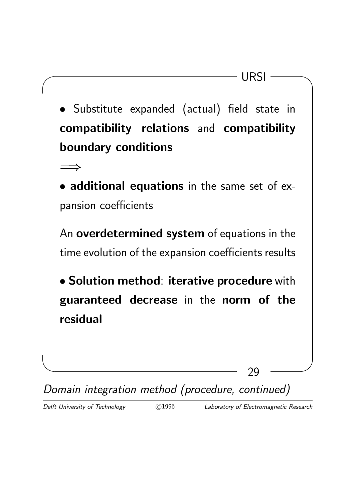$\sqrt{ }$  URSI  $\sqrt{ }$ 29 • Substitute expanded (actual) field state in compatibility relations and compatibility boundary conditions  $\implies$ • additional equations in the same set of expansion coefficients An overdetermined system of equations in the time evolution of the expansion coefficients results • Solution method: iterative procedure with guaranteed decrease in the norm of the residual

Domain integration method (procedure, continued)

✫ ✪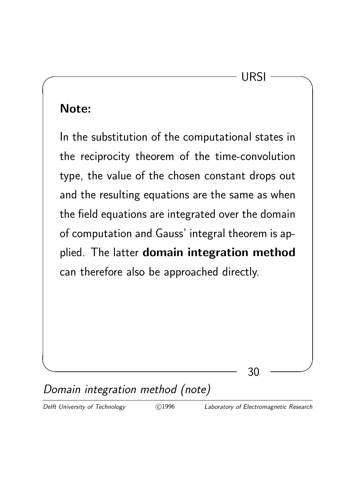$\sqrt{ }$  URSI  $\sqrt{ }$ 

#### Note:

In the substitution of the computational states in the reciprocity theorem of the time-convolution type, the value of the chosen constant drops out and the resulting equations are the same as when the field equations are integrated over the domain of computation and Gauss' integral theorem is applied. The latter domain integration method can therefore also be approached directly.

# Domain integration method (note)

 $\sim$  30  $\sim$  30  $\sim$  30  $\sim$  30  $\sim$  30  $\sim$  30  $\sim$  30  $\sim$  30  $\sim$  30  $\sim$  30  $\sim$  30  $\sim$  30  $\sim$  30  $\sim$  31  $\sim$  31  $\sim$  31  $\sim$  31  $\sim$  31  $\sim$  31  $\sim$  31  $\sim$  31  $\sim$  31  $\sim$  31  $\sim$  31  $\sim$  31  $\sim$  31  $\sim$  31  $\sim$ 

Delft University of Technology (C)1996 Laboratory of Electromagnetic Research

30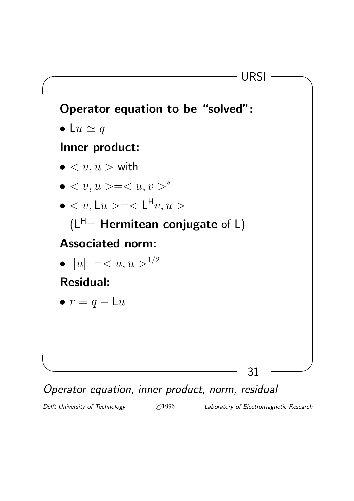

Operator equation, inner product, norm, residual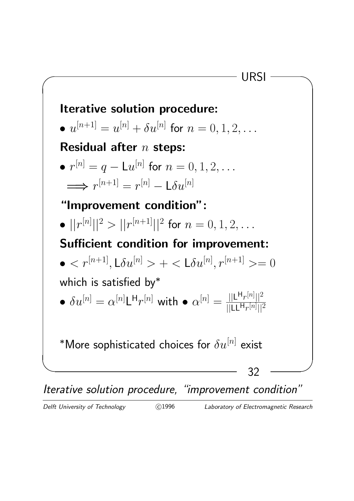